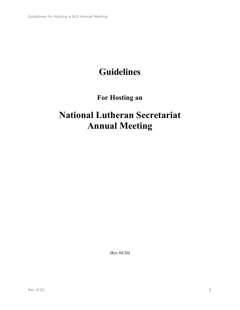# **Guidelines**

# **For Hosting an**

# **National Lutheran Secretariat Annual Meeting**

(Rev 04/20)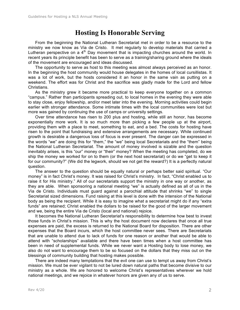# **Hosting Is Honorable Serving**

From the beginning the National Lutheran Secretariat met in order to be a resource to the ministry we now know as Via de Cristo. It met regularly to develop materials that carried a Lutheran perspective on a  $4<sup>th</sup>$  Day movement that is impacting churches around the world. In recent years its principle benefit has been to serve as a training/sharing ground where the ideals of the movement are encouraged and ideas discussed.

The opportunity to serve as host to this meeting was almost always perceived as an honor. In the beginning the host community would house delegates in the homes of local cursillistas. It was a lot of work, but the hosts considered it an honor in the same vain as putting on a weekend. The effort was for Christ and the sacrifice was gladly made for the Lord and fellow Christians.

As the ministry grew it became more practical to keep everyone together on a common "campus." Rather than participants spreading out, to local homes in the evening they were able to stay close, enjoy fellowship, and/or meet later into the evening. Morning activities could begin earlier with stronger attendance. Some intimate times with the local communities were lost but more was gained by continuing the use of camps or university settings.

Over time attendance has risen to 200 plus and hosting, while still an honor, has become exponentially more work. It is so much more than picking a few people up at the airport, providing them with a place to meet, something to eat, and a bed. The costs for hosting have risen to the point that fundraising and extensive arrangements are necessary. While continued growth is desirable a dangerous loss of focus is ever present. The danger can be expressed in the words "we" are doing this for "them," the "we" being local Secretariats and the "them" being the National Lutheran Secretariat. The amount of money involved is sizable and the question inevitably arises, is this "our" money or "their" money? When the meeting has completed, do we ship the money we worked for on to them (or the next host secretariat) or do we "get to keep it for our community?" (We did the legwork, should we not get the reward?) It is a perfectly natural question.

The answer to the question should be equally natural or perhaps better said spiritual. "Our money" is in fact Christ's money. It was raised for Christ's ministry. In fact, "Christ enabled us to raise it for His ministry." All of our secretariats support the ministry in one way or another, as they are able. When sponsoring a national meeting "we" is actually defined as all of us in the Via de Cristo. Individuals must guard against a parochial attitude that shrinks "we" to single Secretariat sized dimensions. Fund raising at this level is done with the intension of the National body as being the recipient. While it is easy to imagine what a secretariat might do if any "extra funds" are retained; Christ enabled the dollars to be raised for the good of the larger movement and we, being the entire Via de Cristo (local and national) rejoice.

It becomes the National Lutheran Secretariat's responsibility to determine how best to invest those funds in Christ's mission. This is why the host document now declares that once all true expenses are paid, the excess is returned to the National Board for disposition. There are other expenses that the Board incurs, which the host committee never sees. There are Secretariats that are unable to attend due to lack of funds for one reason or another that would be able to attend with "scholarships" available and there have been times when a host committee has been in need of supplemental funds. While we never want a Hosting body to lose money, we also do not want to encourage them to be so focused on the dollars that they miss out on the blessings of community building that hosting makes possible.

There are indeed many temptations that the evil one can use to tempt us away from Christ's mission. We must be ever vigilant to not be lured down natural paths that become divisive to our ministry as a whole. We are honored to welcome Christ's representatives wherever we hold national meetings, and we rejoice in whatever honors are given any of us to serve.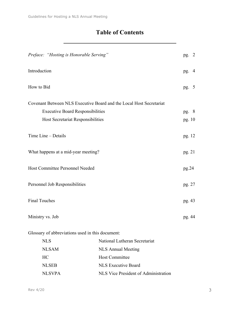# **Table of Contents**

| Preface: "Hosting is Honorable Serving"          |                                                                     | pg. $2$ |  |
|--------------------------------------------------|---------------------------------------------------------------------|---------|--|
| Introduction                                     |                                                                     | pg. 4   |  |
| How to Bid                                       |                                                                     | pg. 5   |  |
|                                                  | Covenant Between NLS Executive Board and the Local Host Secretariat |         |  |
| <b>Executive Board Responsibilities</b>          |                                                                     | pg. $8$ |  |
| Host Secretariat Responsibilities                |                                                                     | pg. 10  |  |
| Time Line - Details                              |                                                                     | pg. 12  |  |
| What happens at a mid-year meeting?              |                                                                     | pg. 21  |  |
| Host Committee Personnel Needed                  |                                                                     | pg.24   |  |
| Personnel Job Responsibilities                   |                                                                     | pg. 27  |  |
| <b>Final Touches</b>                             |                                                                     | pg. 43  |  |
| Ministry vs. Job                                 |                                                                     | pg. 44  |  |
| Glossary of abbreviations used in this document: |                                                                     |         |  |
| <b>NLS</b>                                       | National Lutheran Secretariat                                       |         |  |
| <b>NLSAM</b>                                     | <b>NLS Annual Meeting</b>                                           |         |  |
| HC                                               | <b>Host Committee</b>                                               |         |  |
| <b>NLSEB</b>                                     | <b>NLS Executive Board</b>                                          |         |  |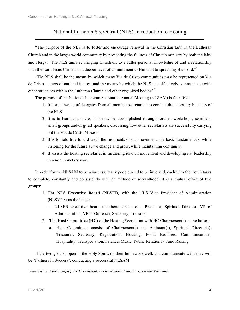# National Lutheran Secretariat (NLS) Introduction to Hosting

"The purpose of the NLS is to foster and encourage renewal in the Christian faith in the Lutheran Church and in the larger world community by presenting the fullness of Christ's ministry by both the laity and clergy. The NLS aims at bringing Christians to a fuller personal knowledge of and a relationship with the Lord Jesus Christ and a deeper level of commitment to Him and to spreading His word."<sup>1</sup>

"The NLS shall be the means by which many Via de Cristo communities may be represented on Via de Cristo matters of national interest and the means by which the NLS can effectively communicate with other structures within the Lutheran Church and other organized bodies."<sup>2</sup>

The purpose of the National Lutheran Secretariat Annual Meeting (NLSAM) is four-fold:

- 1. It is a gathering of delegates from all member secretariats to conduct the necessary business of the NLS.
- 2. It is to learn and share. This may be accomplished through forums, workshops, seminars, small groups and/or guest speakers, discussing how other secretariats are successfully carrying out the Via de Cristo Mission.
- 3. It is to hold true to and teach the rudiments of our movement, the basic fundamentals, while visioning for the future as we change and grow, while maintaining continuity.
- 4. It assists the hosting secretariat in furthering its own movement and developing its' leadership in a non monetary way.

In order for the NLSAM to be a success, many people need to be involved, each with their own tasks to complete, constantly and consistently with an attitude of servanthood. It is a mutual effort of two groups:

- 1. **The NLS Executive Board (NLSEB)** with the NLS Vice President of Administration (NLSVPA) as the liaison.
	- a. NLSEB executive board members consist of: President, Spiritual Director, VP of Administration, VP of Outreach, Secretary, Treasurer
- 2. **The Host Committee (HC)** of the Hosting Secretariat with HC Chairperson(s) as the liaison.
	- a. Host Committees consist of Chairperson(s) and Assistant(s), Spiritual Director(s), Treasurer, Secretary, Registration, Housing, Food, Facilities, Communications, Hospitality, Transportation, Palanca, Music, Public Relations / Fund Raising

If the two groups, open to the Holy Spirit, do their homework well, and communicate well, they will be "Partners in Success", conducting a successful NLSAM.

*Footnotes 1 & 2 are excerpts from the Constitution of the National Lutheran Secretariat Preamble.*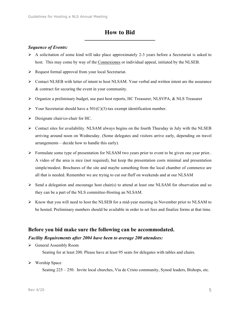# **How to Bid**

# *Sequence of Events:*

- $\triangleright$  A solicitation of some kind will take place approximately 2-3 years before a Secretariat is asked to host. This may come by way of the Connexiones or individual appeal, initiated by the NLSEB.
- $\triangleright$  Request formal approval from your local Secretariat.
- $\triangleright$  Contact NLSEB with letter of intent to host NLSAM. Your verbal and written intent are the assurance & contract for securing the event in your community.
- Ø Organize a preliminary budget, use past host reports, HC Treasurer, NLSVPA, & NLS Treasurer
- $\triangleright$  Your Secretariat should have a 501(C)(3)-tax exempt identification number.
- $\triangleright$  Designate chair/co-chair for HC.
- $\triangleright$  Contact sites for availability. NLSAM always begins on the fourth Thursday in July with the NLSEB arriving around noon on Wednesday. (Some delegates and visitors arrive early, depending on travel arrangements – decide how to handle this early).
- $\triangleright$  Formulate some type of presentation for NLSAM two years prior to event to be given one year prior.. A video of the area is nice (not required), but keep the presentation costs minimal and presentation simple/modest. Brochures of the site and maybe something from the local chamber of commerce are all that is needed. Remember we are trying to cut out fluff on weekends and at our NLSAM
- $\triangleright$  Send a delegation and encourage host chair(s) to attend at least one NLSAM for observation and so they can be a part of the NLS committee-Hosting an NLSAM.
- $\triangleright$  Know that you will need to host the NLSEB for a mid-year meeting in November prior to NLSAM to be hosted. Preliminary numbers should be available in order to set fees and finalize forms at that time.

# **Before you bid make sure the following can be accommodated.**

# *Facility Requirements after 2004 have been to average 200 attendees:*

- Ø General Assembly Room Seating for at least 200. Please have at least 95 seats for delegates with tables and chairs.
- Ø Worship Space

Seating 225 – 250. Invite local churches, Via de Cristo community, Synod leaders, Bishops, etc.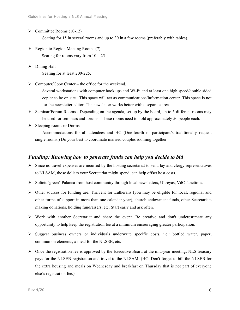- $\triangleright$  Committee Rooms (10-12) Seating for 15 in several rooms and up to 30 in a few rooms (preferably with tables).
- $\triangleright$  Region to Region Meeting Rooms (7) Seating for rooms vary from  $10 - 25$
- $\triangleright$  Dining Hall Seating for at least 200-225.
- $\triangleright$  Computer/Copy Center the office for the weekend.

Several workstations with computer hook ups and Wi-Fi and at least one high speed/double sided copier to be on site. This space will act as communications/information center. This space is not for the newsletter editor. The newsletter works better with a separate area.

- $\triangleright$  Seminar/Forum Rooms Depending on the agenda, set up by the board, up to 5 different rooms may be used for seminars and forums. These rooms need to hold approximately 50 people each.
- $\triangleright$  Sleeping rooms or Dorms

Accommodations for all attendees and HC (One-fourth of participant's traditionally request single rooms.) Do your best to coordinate married couples rooming together.

# *Funding: Knowing how to generate funds can help you decide to bid*

- $\triangleright$  Since no travel expenses are incurred by the hosting secretariat to send lay and clergy representatives to NLSAM, those dollars your Secretariat might spend, can help offset host costs.
- Ø Solicit "green" Palanca from host community through local newsletters, Ultreyas, VdC functions.
- $\triangleright$  Other sources for funding are: Thrivent for Lutherans (you may be eligible for local, regional and other forms of support in more than one calendar year), church endowment funds, other Secretariats making donations, holding fundraisers, etc. Start early and ask often.
- $\triangleright$  Work with another Secretariat and share the event. Be creative and don't underestimate any opportunity to help keep the registration fee at a minimum encouraging greater participation.
- $\triangleright$  Suggest business owners or individuals underwrite specific costs, i.e.: bottled water, paper, communion elements, a meal for the NLSEB, etc.
- $\triangleright$  Once the registration fee is approved by the Executive Board at the mid-year meeting, NLS treasury pays for the NLSEB registration and travel to the NLSAM. (HC: Don't forget to bill the NLSEB for the extra housing and meals on Wednesday and breakfast on Thursday that is not part of everyone else's registration fee.)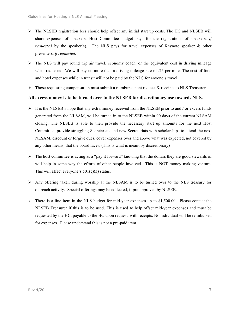- $\triangleright$  The NLSEB registration fees should help offset any initial start up costs. The HC and NLSEB will share expenses of speakers. Host Committee budget pays for the registrations of speakers, *if requested* by the speaker(s). The NLS pays for travel expenses of Keynote speaker & other presenters, *if requested*.
- $\triangleright$  The NLS will pay round trip air travel, economy coach, or the equivalent cost in driving mileage when requested. We will pay no more than a driving mileage rate of .25 per mile. The cost of food and hotel expenses while in transit will not be paid by the NLS for anyone's travel.
- $\triangleright$  Those requesting compensation must submit a reimbursement request & receipts to NLS Treasurer.

## **All excess money is to be turned over to the NLSEB for discretionary use towards NLS.**

- $\triangleright$  It is the NLSEB's hope that any extra money received from the NLSEB prior to and / or excess funds generated from the NLSAM, will be turned in to the NLSEB within 90 days of the current NLSAM closing. The NLSEB is able to then provide the necessary start up amounts for the next Host Committee, provide struggling Secretariats and new Secretariats with scholarships to attend the next NLSAM, discount or forgive dues, cover expenses over and above what was expected, not covered by any other means, that the board faces. (This is what is meant by discretionary)
- $\triangleright$  The host committee is acting as a "pay it forward" knowing that the dollars they are good stewards of will help in some way the efforts of other people involved. This is NOT money making venture. This will affect everyone's  $501(c)(3)$  status.
- $\triangleright$  Any offering taken during worship at the NLSAM is to be turned over to the NLS treasury for outreach activity. Special offerings may be collected, if pre-approved by NLSEB.
- $\triangleright$  There is a line item in the NLS budget for mid-year expenses up to \$1,500.00. Please contact the NLSEB Treasurer if this is to be used. This is used to help offset mid-year expenses and must be requested by the HC, payable to the HC upon request, with receipts. No individual will be reimbursed for expenses. Please understand this is not a pre-paid item.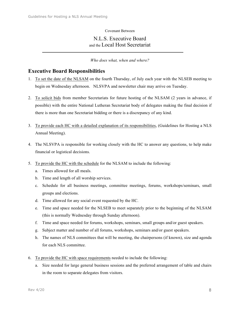# Covenant Between

# N.L.S. Executive Board and the Local Host Secretariat

# *Who does what, when and where?*

# **Executive Board Responsibilities**

- 1. To set the date of the NLSAM on the fourth Thursday, of July each year with the NLSEB meeting to begin on Wednesday afternoon. NLSVPA and newsletter chair may arrive on Tuesday.
- 2. To solicit bids from member Secretariats for future hosting of the NLSAM (2 years in advance, if possible) with the entire National Lutheran Secretariat body of delegates making the final decision if there is more than one Secretariat bidding or there is a discrepancy of any kind.
- 3. To provide each HC with a detailed explanation of its responsibilities, (Guidelines for Hosting a NLS Annual Meeting).
- 4. The NLSVPA is responsible for working closely with the HC to answer any questions, to help make financial or logistical decisions.
- 5. To provide the HC with the schedule for the NLSAM to include the following:
	- a. Times allowed for all meals.
	- b. Time and length of all worship services.
	- c. Schedule for all business meetings, committee meetings, forums, workshops/seminars, small groups and elections.
	- d. Time allowed for any social event requested by the HC.
	- e. Time and space needed for the NLSEB to meet separately prior to the beginning of the NLSAM (this is normally Wednesday through Sunday afternoon).
	- f. Time and space needed for forums, workshops, seminars, small groups and/or guest speakers.
	- g. Subject matter and number of all forums, workshops, seminars and/or guest speakers.
	- h. The names of NLS committees that will be meeting, the chairpersons (if known), size and agenda for each NLS committee.
- 6. To provide the HC with space requirements needed to include the following:
	- a. Size needed for large general business sessions and the preferred arrangement of table and chairs in the room to separate delegates from visitors.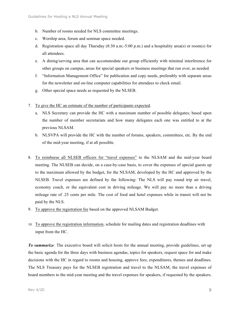- b. Number of rooms needed for NLS committee meetings.
- c. Worship area, forum and seminar space needed.
- d. Registration space all day Thursday  $(8:30 \text{ a.m.} 5:00 \text{ p.m.})$  and a hospitality area(s) or room(s) for all attendees.
- e. A dining/serving area that can accommodate our group efficiently with minimal interference for other groups on campus, areas for special speakers or business meetings that run over, as needed.
- f. "Information Management Office" for publication and copy needs, preferably with separate areas for the newsletter and on-line computer capabilities for attendees to check email.
- g. Other special space needs as requested by the NLSEB.
- 7. To give the HC an estimate of the number of participants expected.
	- a. NLS Secretary can provide the HC with a maximum number of possible delegates; based upon the number of member secretariats and how many delegates each one was entitled to at the previous NLSAM.
	- b. NLSVPA will provide the HC with the number of forums, speakers, committees, etc. By the end of the mid-year meeting, if at all possible.
- 8. To reimburse all NLSEB officers for "travel expenses" to the NLSAM and the mid-year board meeting. The NLSEB can decide, on a case-by-case basis, to cover the expenses of special guests up to the maximum allowed by the budget, for the NLSAM, developed by the HC and approved by the NLSEB. Travel expenses are defined by the following: The NLS will pay round trip air travel, economy coach, or the equivalent cost in driving mileage. We will pay no more than a driving mileage rate of .25 cents per mile. The cost of food and hotel expenses while in transit will not be paid by the NLS.
- 9. To approve the registration fee based on the approved NLSAM Budget.
- 10. To approve the registration information, schedule for mailing dates and registration deadlines with input from the HC.

**To summarize**: The executive board will solicit hosts for the annual meeting, provide guidelines, set up the basic agenda for the three days with business agendas, topics for speakers, request space for and make decisions with the HC in regard to rooms and housing, approve fees, expenditures, themes and deadlines. The NLS Treasury pays for the NLSEB registration and travel to the NLSAM, the travel expenses of board members to the mid-year meeting and the travel expenses for speakers, if requested by the speakers.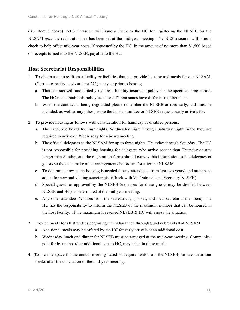(See Item 8 above) NLS Treasurer will issue a check to the HC for registering the NLSEB for the NLSAM *after* the registration fee has been set at the mid-year meeting. The NLS treasurer will issue a check to help offset mid-year costs, if requested by the HC, in the amount of no more than \$1,500 based on receipts turned into the NLSEB, payable to the HC.

# **Host Secretariat Responsibilities**

- 1. To obtain a contract from a facility or facilities that can provide housing and meals for our NLSAM. (Current capacity needs at least 225) one year prior to hosting.
	- a. This contract will undoubtedly require a liability insurance policy for the specified time period. The HC must obtain this policy because different states have different requirements.
	- b. When the contract is being negotiated please remember the NLSEB arrives early, and must be included, as well as any other people the host committee or NLSEB requests early arrivals for.
- 2. To provide housing as follows with consideration for handicap or disabled persons:
	- a. The executive board for four nights, Wednesday night through Saturday night, since they are required to arrive on Wednesday for a board meeting.
	- b. The official delegates to the NLSAM for up to three nights, Thursday through Saturday. The HC is not responsible for providing housing for delegates who arrive sooner than Thursday or stay longer than Sunday, and the registration forms should convey this information to the delegates or guests so they can make other arrangements before and/or after the NLSAM.
	- c. To determine how much housing is needed (check attendance from last two years) and attempt to adjust for new and visiting secretariats. (Check with VP Outreach and Secretary NLSEB)
	- d. Special guests as approved by the NLSEB (expenses for these guests may be divided between NLSEB and HC) as determined at the mid-year meeting.
	- e. Any other attendees (visitors from the secretariats, spouses, and local secretariat members). The HC has the responsibility to inform the NLSEB of the maximum number that can be housed in the host facility. If the maximum is reached NLSEB  $&$  HC will assess the situation.
- 3. Provide meals for all attendees beginning Thursday lunch through Sunday breakfast at NLSAM
	- a. Additional meals may be offered by the HC for early arrivals at an additional cost.
	- b. Wednesday lunch and dinner for NLSEB must be arranged at the mid-year meeting. Community, paid for by the board or additional cost to HC, may bring in these meals.
- 4. To provide space for the annual meeting based on requirements from the NLSEB, no later than four weeks after the conclusion of the mid-year meeting.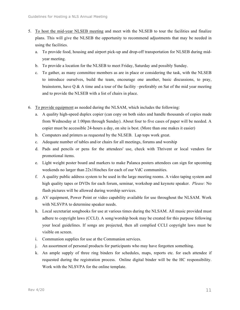- 5. To host the mid-year NLSEB meeting and meet with the NLSEB to tour the facilities and finalize plans. This will give the NLSEB the opportunity to recommend adjustments that may be needed in using the facilities.
	- a. To provide food, housing and airport pick-up and drop-off transportation for NLSEB during midyear meeting.
	- b. To provide a location for the NLSEB to meet Friday, Saturday and possibly Sunday.
	- c. To gather, as many committee members as are in place or considering the task, with the NLSEB to introduce ourselves, build the team, encourage one another, basic discussions, to pray, brainstorm, have  $\overline{O} \& \overline{O}$  A time and a tour of the facility –preferably on Sat of the mid year meeting and to provide the NLSEB with a list of chairs in place.
- 6. To provide equipment as needed during the NLSAM, which includes the following:
	- a. A quality high-speed duplex copier (can copy on both sides and handle thousands of copies made from Wednesday at 1:00pm through Sunday). About four to five cases of paper will be needed. A copier must be accessible 24-hours a day, on site is best. (More than one makes it easier)
	- b. Computers and printers as requested by the NLSEB. Lap tops work great.
	- c. Adequate number of tables and/or chairs for all meetings, forums and worship
	- d. Pads and pencils or pens for the attendees' use, check with Thrivent or local vendors for promotional items.
	- e. Light weight poster board and markers to make Palanca posters attendees can sign for upcoming weekends no larger than 22x18inches for each of our VdC communities.
	- f. A quality public address system to be used in the large meeting rooms. A video taping system and high quality tapes or DVDs for each forum, seminar, workshop and keynote speaker. *Please:* No flash pictures will be allowed during worship services.
	- g. AV equipment, Power Point or video capability available for use throughout the NLSAM. Work with NLSVPA to determine speaker needs.
	- h. Local secretariat songbooks for use at various times during the NLSAM. All music provided must adhere to copyright laws (CCLI). A song/worship book may be created for this purpose following your local guidelines. If songs are projected, then all complied CCLI copyright laws must be visible on screen.
	- i. Communion supplies for use at the Communion services.
	- j. An assortment of personal products for participants who may have forgotten something.
	- k. An ample supply of three ring binders for schedules, maps, reports etc. for each attendee if requested during the registration process. Online digital binder will be the HC responsibility. Work with the NLSVPA for the online template.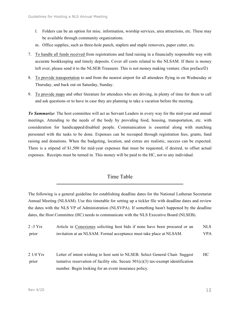- l. Folders can be an option for misc. information, worship services, area attractions, etc. These may be available through community organizations.
- m. Office supplies, such as three-hole punch, staplers and staple removers, paper cutter, etc.
- 7. To handle all funds received from registrations and fund raising in a financially responsible way with accurate bookkeeping and timely deposits. Cover all costs related to the NLSAM. If there is money left over, please send it to the NLSEB Treasurer. This is not money making venture. (See preface $\circledcirc$ )
- 8. To provide transportation to and from the nearest airport for all attendees flying in on Wednesday or Thursday, and back out on Saturday, Sunday.
- 9. To provide maps and other literature for attendees who are driving, in plenty of time for them to call and ask questions or to have in case they are planning to take a vacation before the meeting.

*To Summarize*: The host committee will act as Servant Leaders in every way for the mid-year and annual meetings. Attending to the needs of the body by providing food, housing, transportation, etc. with consideration for handicapped/disabled people. Communication is essential along with matching personnel with the tasks to be done. Expenses can be recouped through registration fees, grants, fund raising and donations. When the budgeting, location, and extras are realistic, success can be expected. There is a stipend of \$1,500 for mid-year expenses that must be requested, if desired, to offset actual expenses. Receipts must be turned in. This money will be paid to the HC, not to any individual.

# Time Table

The following is a general guideline for establishing deadline dates for the National Lutheran Secretariat Annual Meeting (NLSAM). Use this timetable for setting up a tickler file with deadline dates and review the dates with the NLS VP of Administration (NLSVPA). If something hasn't happened by the deadline dates, the Host Committee (HC) needs to communicate with the NLS Executive Board (NLSEB).

| $2 - 3$ Yrs | Article in Conexiones soliciting host bids if none have been procured or an | <b>NLS</b> |
|-------------|-----------------------------------------------------------------------------|------------|
| prior       | invitation at an NLSAM. Formal acceptance must take place at NLSAM.         | VPA        |

2 1/4 Yrs prior Letter of intent wishing to host sent to NLSEB. Select General Chair. Suggest tentative reservation of facility site. Secure  $501(c)(3)$  tax-exempt identification number. Begin looking for an event insurance policy. HC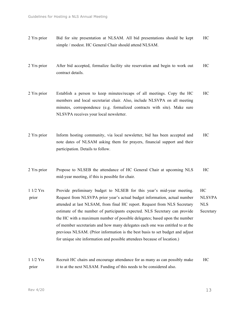- 2 Yrs prior Bid for site presentation at NLSAM. All bid presentations should be kept simple / modest. HC General Chair should attend NLSAM. HC
- 2 Yrs prior After bid accepted, formalize facility site reservation and begin to work out contract details. HC
- 2 Yrs prior Establish a person to keep minutes/recaps of all meetings. Copy the HC members and local secretariat chair. Also, include NLSVPA on all meeting minutes, correspondence (e.g. formalized contracts with site). Make sure NLSVPA receives your local newsletter. HC
- 2 Yrs prior Inform hosting community, via local newsletter, bid has been accepted and note dates of NLSAM asking them for prayers, financial support and their participation. Details to follow. HC
- 2 Yrs prior Propose to NLSEB the attendance of HC General Chair at upcoming NLS mid-year meeting, if this is possible for chair. HC
- 1 1/2 Yrs prior Provide preliminary budget to NLSEB for this year's mid-year meeting. Request from NLSVPA prior year's actual budget information, actual number attended at last NLSAM, from final HC report. Request from NLS Secretary estimate of the number of participants expected. NLS Secretary can provide the HC with a maximum number of possible delegates; based upon the number of member secretariats and how many delegates each one was entitled to at the previous NLSAM. (Prior information is the best basis to set budget and adjust for unique site information and possible attendees because of location.) HC NLSVPA NLS Secretary

1 1/2 Yrs prior Recruit HC chairs and encourage attendance for as many as can possibly make it to at the next NLSAM. Funding of this needs to be considered also. HC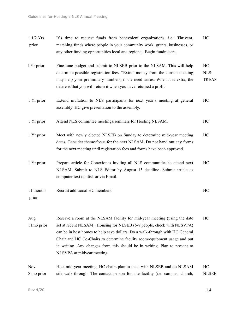| $11/2$ Yrs<br>prior | It's time to request funds from benevolent organizations, i.e.: Thrivent,<br>matching funds where people in your community work, grants, businesses, or<br>any other funding opportunities local and regional. Begin fundraisers.                                                                                                                                                                                             | HC                               |
|---------------------|-------------------------------------------------------------------------------------------------------------------------------------------------------------------------------------------------------------------------------------------------------------------------------------------------------------------------------------------------------------------------------------------------------------------------------|----------------------------------|
| 1 Yr prior          | Fine tune budget and submit to NLSEB prior to the NLSAM. This will help<br>determine possible registration fees. "Extra" money from the current meeting<br>may help your preliminary numbers, if the need arises. When it is extra, the<br>desire is that you will return it when you have returned a profit                                                                                                                  | HC<br><b>NLS</b><br><b>TREAS</b> |
| 1 Yr prior          | Extend invitation to NLS participants for next year's meeting at general<br>assembly. HC give presentation to the assembly.                                                                                                                                                                                                                                                                                                   | HC                               |
| 1 Yr prior          | Attend NLS committee meetings/seminars for Hosting NLSAM.                                                                                                                                                                                                                                                                                                                                                                     | HC                               |
| 1 Yr prior          | Meet with newly elected NLSEB on Sunday to determine mid-year meeting<br>dates. Consider theme/focus for the next NLSAM. Do not hand out any forms<br>for the next meeting until registration fees and forms have been approved.                                                                                                                                                                                              | HC                               |
| 1 Yr prior          | Prepare article for Conexiones inviting all NLS communities to attend next<br>NLSAM. Submit to NLS Editor by August 15 deadline. Submit article as<br>computer text on disk or via Email.                                                                                                                                                                                                                                     | HC                               |
| 11 months<br>prior  | Recruit additional HC members.                                                                                                                                                                                                                                                                                                                                                                                                | HC                               |
| Aug<br>11mo prior   | Reserve a room at the NLSAM facility for mid-year meeting (using the date<br>set at recent NLSAM). Housing for NLSEB (6-8 people, check with NLSVPA)<br>can be in host homes to help save dollars. Do a walk-through with HC General<br>Chair and HC Co-Chairs to determine facility room/equipment usage and put<br>in writing. Any changes from this should be in writing. Plan to present to<br>NLSVPA at midyear meeting. | HC                               |
| Nov<br>8 mo prior   | Host mid-year meeting, HC chairs plan to meet with NLSEB and do NLSAM<br>site walk-through. The contact person for site facility (i.e. campus, church,                                                                                                                                                                                                                                                                        | HC<br><b>NLSEB</b>               |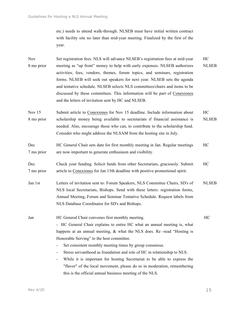etc.) needs to attend walk-through. NLSEB must have initial written contract with facility site no later than mid-year meeting. Finalized by the first of the year.

Nov 8 mo prior Set registration fees. NLS will advance NLSEB's registration fees at mid-year meeting as "up front" money to help with early expenses. NLSEB authorizes activities, fees, vendors, themes, forum topics, and seminars, registration forms. NLSEB will seek out speakers for next year. NLSEB sets the agenda and tentative schedule. NLSEB selects NLS committees/chairs and items to be discussed by these committees. This information will be part of Conexiones and the letters of invitation sent by HC and NLSEB. HC NLSEB

Nov 15 8 mo prior Submit article to Conexiones for Nov 15 deadline. Include information about scholarship money being available to secretariats if financial assistance is needed. Also, encourage those who can, to contribute to the scholarship fund. Consider who might address the NLSAM from the hosting site in July. HC NLSEB

Dec 7 mo prior HC General Chair sets date for first monthly meeting in Jan. Regular meetings are now important to generate enthusiasm and visibility. HC

Dec 7 mo prior Check your funding. Solicit funds from other Secretariats, graciously. Submit article to Conexiones for Jan 15th deadline with positive promotional spirit. HC

Jan 1st Letters of invitation sent to: Forum Speakers, NLS Committee Chairs, SD's of NLS local Secretariats, Bishops. Send with these letters: registration forms, Annual Meeting, Forum and Seminar Tentative Schedule. Request labels from NLS Database Coordinator for SD's and Bishops. NLSEB

Jan HC General Chair convenes first monthly meeting. - HC General Chair explains to entire HC what an annual meeting is, what happens at an annual meeting, & what the NLS does. Re-read "Hosting is Honorable Serving" to the host committee. HC

Set consistent monthly meeting times by group consensus.

Stress servanthood as foundation and role of HC in relationship to NLS.

- While it is important for hosting Secretariat to be able to express the "flavor" of the local movement, please do so in moderation, remembering this is the official annual business meeting of the NLS.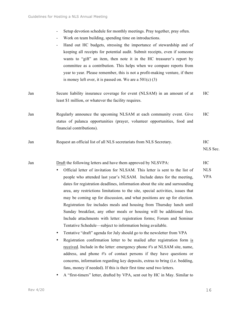- Setup devotion schedule for monthly meetings. Pray together, pray often.
- Work on team building, spending time on introductions.
- Hand out HC budgets, stressing the importance of stewardship and of keeping all receipts for potential audit. Submit receipts, even if someone wants to "gift" an item, then note it in the HC treasurer's report by committee as a contribution. This helps when we compare reports from year to year. Please remember, this is not a profit-making venture, if there is money left over, it is passed on. We are a  $501(c)$  (3)
- Jan Secure liability insurance coverage for event (NLSAM) in an amount of at least \$1 million, or whatever the facility requires. HC
- Jan Regularly announce the upcoming NLSAM at each community event. Give status of palanca opportunities (prayer, volunteer opportunities, food and financial contributions). HC
- Jan Request an official list of all NLS secretariats from NLS Secretary. HC NLS Sec.
- Jan Draft the following letters and have them approved by NLSVPA: HC
	- Official letter of invitation for NLSAM. This letter is sent to the list of people who attended last year's NLSAM. Include dates for the meeting, dates for registration deadlines, information about the site and surrounding area, any restrictions limitations to the site, special activities, issues that may be coming up for discussion, and what positions are up for election. Registration fee includes meals and housing from Thursday lunch until Sunday breakfast, any other meals or housing will be additional fees. Include attachments with letter: registration forms; Forum and Seminar Tentative Schedule—subject to information being available. NLS VPA
		- Tentative "draft" agenda for July should go to the newsletter from VPA
		- Registration confirmation letter to be mailed after registration form is received. Include in the letter: emergency phone #'s at NLSAM site, name, address, and phone #'s of contact persons if they have questions or concerns, information regarding key deposits, extras to bring (i.e. bedding, fans, money if needed). If this is their first time send two letters.
		- A "first-timers" letter, drafted by VPA, sent out by HC in May. Similar to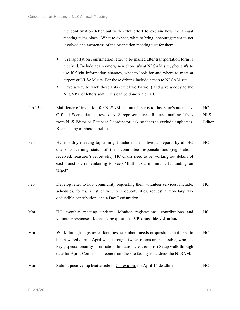the confirmation letter but with extra effort to explain how the annual meeting takes place. What to expect, what to bring, encouragement to get involved and awareness of the orientation meeting just for them.

- Transportation confirmation letter to be mailed after transportation form is received. Include again emergency phone #'s at NLSAM site, phone #'s to use if flight information changes, what to look for and where to meet at airport or NLSAM site. For those driving include a map to NLSAM site.
- Have a way to track these lists (excel works well) and give a copy to the NLSVPA of letters sent. This can be done via email.
- Jan 15th Mail letter of invitation for NLSAM and attachments to: last year's attendees. Official Secretariat addresses, NLS representatives. Request mailing labels from NLS Editor or Database Coordinator, asking them to exclude duplicates. Keep a copy of photo labels used. HC NLS Editor
- Feb HC monthly meeting topics might include: the individual reports by all HC chairs concerning status of their committee responsibilities (registrations received, treasurer's report etc.). HC chairs need to be working out details of each function, remembering to keep "fluff" to a minimum. Is funding on target? HC
- Feb Develop letter to host community requesting their volunteer services. Include: schedules, forms, a list of volunteer opportunities, request a monetary taxdeductible contribution, and a Day Registration. HC
- Mar HC monthly meeting updates. Monitor registrations, contributions and volunteer responses. Keep asking questions. **VPA possible visitation.**  HC
- Mar Work through logistics of facilities; talk about needs or questions that need to be answered during April walk-through, (when rooms are accessible, who has keys, special security information, limitations/restrictions.) Setup walk-through date for April. Confirm someone from the site facility to address the NLSAM. HC
- Mar Submit positive, up beat article to Conexiones for April 15 deadline. HC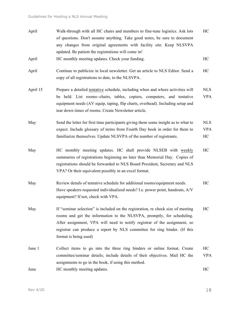| April    | Walk-through with all HC chairs and members to fine-tune logistics. Ask lots<br>of questions. Don't assume anything. Take good notes, be sure to document<br>any changes from original agreements with facility site. Keep NLSVPA<br>updated. Be patient the registrations will come in!                                                      | HC                             |
|----------|-----------------------------------------------------------------------------------------------------------------------------------------------------------------------------------------------------------------------------------------------------------------------------------------------------------------------------------------------|--------------------------------|
| April    | HC monthly meeting updates. Check your funding.                                                                                                                                                                                                                                                                                               | HC                             |
| April    | Continue to publicize in local newsletter. Get an article to NLS Editor. Send a<br>copy of all registrations to date, to the NLSVPA.                                                                                                                                                                                                          | HC                             |
| April 15 | Prepare a detailed tentative schedule, including when and where activities will<br>be held. List rooms--chairs, tables, copiers, computers, and tentative<br>equipment needs (AV equip, taping, flip charts, overhead). Including setup and<br>tear down times of rooms. Create Newsletter article.                                           | <b>NLS</b><br><b>VPA</b>       |
| May      | Send the letter for first time participants giving them some insight as to what to<br>expect. Include glossary of terms from Fourth Day book in order for them to<br>familiarize themselves. Update NLSVPA of the number of registrants.                                                                                                      | <b>NLS</b><br><b>VPA</b><br>HC |
| May      | HC monthly meeting updates. HC shall provide NLSEB with weekly<br>summaries of registrations beginning no later than Memorial Day. Copies of<br>registrations should be forwarded to NLS Board President, Secretary and NLS<br>VPA? Or their equivalent possibly in an excel format.                                                          | HC                             |
| May      | Review details of tentative schedule for additional rooms/equipment needs.<br>Have speakers requested individualized needs? I.e. power point, handouts, A/V<br>equipment? If not, check with VPA.                                                                                                                                             | HC                             |
| May      | If "seminar selection" is included on the registration, re check size of meeting<br>rooms and get the information to the NLSVPA, promptly, for scheduling.<br>After assignment, VPA will need to notify registrar of the assignment, so<br>registrar can produce a report by NLS committee for ring binder. (If this<br>format is being used) | HC                             |
| June 1   | Collect items to go into the three ring binders or online format. Create<br>committee/seminar details; include details of their objectives. Mail HC the<br>assignments to go in the book, if using this method.                                                                                                                               | HC<br><b>VPA</b>               |
| June     | HC monthly meeting updates.                                                                                                                                                                                                                                                                                                                   | HC                             |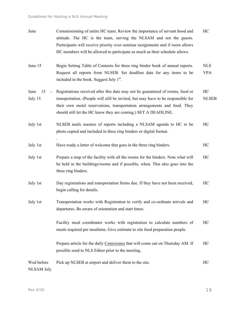| June                                    | Commissioning of entire HC team. Review the importance of servant hood and<br>attitude. The HC is the team, serving the NLSAM and not the guests.<br>Participants will receive priority over seminar assignments and if room allows<br>HC members will be allowed to participate as much as their schedule allows. | HC                       |
|-----------------------------------------|--------------------------------------------------------------------------------------------------------------------------------------------------------------------------------------------------------------------------------------------------------------------------------------------------------------------|--------------------------|
| June 15                                 | Begin Setting Table of Contents for three ring binder book of annual reports.<br>Request all reports from NLSEB. Set deadline date for any items to be<br>included in the book. Suggest July $1st$ .                                                                                                               | <b>NLS</b><br><b>VPA</b> |
| June<br>15<br>$\blacksquare$<br>July 15 | Registrations received after this date may not be guaranteed of rooms, food or<br>transportation. (People will still be invited, but may have to be responsible for<br>their own motel reservations, transportation arrangements and food. They<br>should still let the HC know they are coming.) SET A DEADLINE.  | HC<br><b>NLSEB</b>       |
| July 1st                                | NLSEB mails masters of reports including a NLSAM agenda to HC to be<br>photo copied and included in three ring binders or digital format.                                                                                                                                                                          | HC                       |
| July 1st                                | Have ready a letter of welcome that goes in the three ring binders.                                                                                                                                                                                                                                                | HC                       |
| July 1st                                | Prepare a map of the facility with all the rooms for the binders. Note what will<br>be held in the buildings/rooms and if possible, when. This also goes into the<br>three ring binders.                                                                                                                           | HC                       |
| July 1st                                | Day registrations and transportation forms due. If they have not been received,<br>begin calling for details.                                                                                                                                                                                                      | HC                       |
| July 1st                                | Transportation works with Registration to verify and co-ordinate arrivals and<br>departures. Be aware of orientation and start times.                                                                                                                                                                              | HC                       |
|                                         | Facility meal coordinator works with registration to calculate numbers of<br>meals required per mealtime. Give estimate to site food preparation people.                                                                                                                                                           | HC                       |
|                                         | Prepare article for the daily Conexiones that will come out on Thursday AM. If<br>possible send to NLS Editor prior to the meeting.                                                                                                                                                                                | HC                       |
| Wed before<br><b>NLSAM July</b>         | Pick up NLSEB at airport and deliver them to the site.                                                                                                                                                                                                                                                             | HC                       |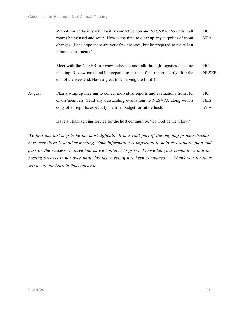Walk-through facility with facility contact person and NLSVPA. Reconfirm all rooms being used and setup. Now is the time to clear up any surprises of room changes. (Let's hope there are very few changes, but be prepared to make last minute adjustments.) HC VPA

Meet with the NLSEB to review schedule and talk through logistics of entire meeting. Review costs and be prepared to put in a final report shortly after the end of the weekend. Have a great time serving the Lord!!!! HC NLSEB

August Plan a wrap-up meeting to collect individual reports and evaluations from HC chairs/members. Send any outstanding evaluations to NLSVPA along with a copy of all reports, especially the final budget for future hosts. HC NLS VPA

Have a Thanksgiving service for the host community. "To God be the Glory."

*We find this last step to be the most difficult. It is a vital part of the ongoing process because next year there is another meeting! Your information is important to help us evaluate, plan and pass on the success we have had as we continue to grow. Please tell your committees that the hosting process is not over until this last meeting has been completed. Thank you for your service to our Lord in this endeavor.*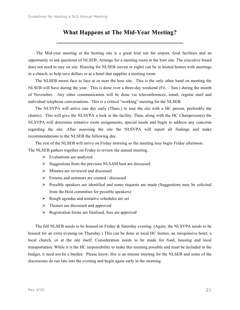# **What Happens at The Mid-Year Meeting?**

The Mid-year meeting at the hosting site is a great trial run for airport, food facilities and an opportunity to ask questions of NLSEB. Arrange for a meeting room at the host site. The executive board does not need to stay on site. Housing for NLSEB (seven or eight) can be in hosted homes with meetings in a church, to help save dollars or at a hotel that supplies a meeting room.

The NLSEB meets face to face at or near the host site. This is the only other hand on meeting the NLSEB will have during the year. This is done over a three-day weekend (Fri. – Sun.) during the month of November. Any other communication will be done via teleconferences, email, regular mail and individual telephone conversations. This is a critical "working" meeting for the NLSEB.

The NLSVPA will arrive one day early (Thurs.) to tour the site with a HC person, preferably the chair(s). This will give the NLSVPA a look at the facility. Then, along with the HC Chairperson(s) the NLSVPA will determine tentative room assignments, special needs and begin to address any concerns regarding the site. After assessing the site the NLSVPA will report all findings and make recommendations to the NLSEB the following day.

The rest of the NLSEB will arrive on Friday morning so the meeting may begin Friday afternoon. The NLSEB gathers together on Friday to review the annual meeting.

- $\triangleright$  Evaluations are analyzed
- $\triangleright$  Suggestions from the previous NLSAM host are discussed
- $\triangleright$  Minutes are reviewed and discussed
- $\triangleright$  Forums and seminars are created / discussed
- $\triangleright$  Possible speakers are identified and some requests are made (Suggestions may be solicited from the Host committee for possible speakers)
- $\triangleright$  Rough agendas and tentative schedules are set
- $\triangleright$  Themes are discussed and approved
- $\triangleright$  Registration forms are finalized, fees are approved

The full NLSEB needs to be housed on Friday  $\&$  Saturday evening. (Again, the NLSVPA needs to be housed for an extra evening on Thursday.) This can be done in local HC homes, an inexpensive hotel, a local church, or at the site itself. Consideration needs to be made for food, housing and local transportation. While it is the HC responsibility to make this meeting possible and must be included in the budget, it need not be a burden. Please know, this is an intense meeting for the NLSEB and some of the discussions do run late into the evening and begin again early in the morning.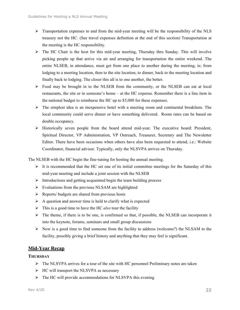- $\triangleright$  Transportation expenses to and from the mid-year meeting will be the responsibility of the NLS treasury not the HC. (See travel expenses definition at the end of this section) Transportation at the meeting is the HC responsibility.
- $\triangleright$  The HC Chair is the host for this mid-year meeting, Thursday thru Sunday. This will involve picking people up that arrive via air and arranging for transportation the entire weekend. The entire NLSEB, in attendance, must get from one place to another during the meeting, ie; from lodging to a meeting location, then to the site location, to dinner, back to the meeting location and finally back to lodging. The closer this all is to one another, the better.
- $\triangleright$  Food may be brought in to the NLSEB from the community, or the NLSEB can eat at local restaurants, the site or in someone's home – at the HC expense. Remember there is a line item in the national budget to reimburse the HC up to \$3,000 for these expenses.
- $\triangleright$  The simplest idea is an inexpensive hotel with a meeting room and continental breakfasts. The local community could serve dinner or have something delivered. Room rates can be based on double occupancy.
- $\triangleright$  Historically seven people from the board attend mid-year. The executive board: President, Spiritual Director, VP Administration, VP Outreach, Treasurer, Secretary and The Newsletter Editor. There have been occasions when others have also been requested to attend, i.e.: Website Coordinator, financial advisor. Typically, only the NLSVPA arrives on Thursday.

The NLSEB with the HC begin the fine-tuning for hosting the annual meeting.

- $\triangleright$  It is recommended that the HC set one of its initial committee meetings for the Saturday of this mid-year meeting and include a joint session with the NLSEB
- $\triangleright$  Introductions and getting acquainted begin the team building process
- $\triangleright$  Evaluations from the previous NLSAM are highlighted
- $\triangleright$  Reports/ budgets are shared from previous hosts
- $\triangleright$  A question and answer time is held to clarify what is expected
- Ø This is a good time to have the HC *also* tour the facility
- $\triangleright$  The theme, if there is to be one, is confirmed so that, if possible, the NLSEB can incorporate it into the keynote, forums, seminars and small group discussions
- $\triangleright$  Now is a good time to find someone from the facility to address (welcome?) the NLSAM to the facility, possibly giving a brief history and anything that they may feel is significant.

# **Mid-Year Recap**

# **THURSDAY**

- $\triangleright$  The NLSVPA arrives for a tour of the site with HC personnel Preliminary notes are taken
- $\triangleright$  HC will transport the NLSVPA as necessary
- $\triangleright$  The HC will provide accommodations for NLSVPA this evening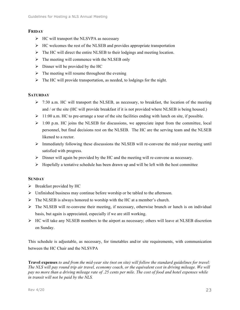# **FRIDAY**

- $\triangleright$  HC will transport the NLSVPA as necessary
- $\triangleright$  HC welcomes the rest of the NLSEB and provides appropriate transportation
- $\triangleright$  The HC will direct the entire NLSEB to their lodgings and meeting location.
- $\triangleright$  The meeting will commence with the NLSEB only
- $\triangleright$  Dinner will be provided by the HC
- $\triangleright$  The meeting will resume throughout the evening
- $\triangleright$  The HC will provide transportation, as needed, to lodgings for the night.

# **SATURDAY**

- $\geq$  7:30 a.m. HC will transport the NLSEB, as necessary, to breakfast, the location of the meeting and / or the site (HC will provide breakfast if it is not provided where NLSEB is being housed.)
- $\geq 11:00$  a.m. HC to pre-arrange a tour of the site facilities ending with lunch on site, if possible.
- $\geq 1:00$  p.m. HC joins the NLSEB for discussions, we appreciate input from the committee, local personnel, but final decisions rest on the NLSEB. The HC are the serving team and the NLSEB likened to a rector.
- $\triangleright$  Immediately following these discussions the NLSEB will re-convene the mid-year meeting until satisfied with progress.
- $\triangleright$  Dinner will again be provided by the HC and the meeting will re-convene as necessary.
- $\triangleright$  Hopefully a tentative schedule has been drawn up and will be left with the host committee

# **SUNDAY**

- $\triangleright$  Breakfast provided by HC
- $\triangleright$  Unfinished business may continue before worship or be tabled to the afternoon.
- $\triangleright$  The NLSEB is always honored to worship with the HC at a member's church.
- $\triangleright$  The NLSEB will re-convene their meeting, if necessary, otherwise brunch or lunch is on individual basis, but again is appreciated, especially if we are still working.
- $\triangleright$  HC will take any NLSEB members to the airport as necessary; others will leave at NLSEB discretion on Sunday.

This schedule is adjustable, as necessary, for timetables and/or site requirements, with communication between the HC Chair and the NLSVPA

**Travel expenses** *to and from the mid-year site (not on site) will follow the standard guidelines for travel: The NLS will pay round trip air travel, economy coach, or the equivalent cost in driving mileage. We will pay no more than a driving mileage rate of .25 cents per mile. The cost of food and hotel expenses while in transit will not be paid by the NLS.*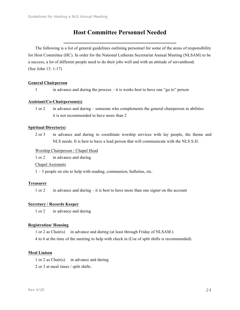# **Host Committee Personnel Needed**

The following is a list of general guidelines outlining personnel for some of the areas of responsibility for Host Committee (HC). In order for the National Lutheran Secretariat Annual Meeting (NLSAM) to be a success, a lot of different people need to do their jobs well and with an attitude of servanthood. (See John 13: 1-17)

# **General Chairperson**

1 in advance and during the process – it is works best to have one "go to" person

# **Assistant/Co-Chairpersons(s)**

1 or 2 in advance and during – someone who complements the general chairperson in abilities it is not recommended to have more than 2

# **Spiritual Director(s)**

2 or 3 in advance and during to coordinate worship services with lay people, the theme and NLS needs. It is best to have a lead person that will communicate with the NLS S.D.

# Worship Chairperson / Chapel Head

1 or 2 in advance and during

# Chapel Assistants

1 – 3 people on site to help with reading, communion, bulletins, etc.

# **Treasurer**

1 or 2 in advance and during – it is best to have more than one signer on the account

# **Secretary / Records Keeper**

1 or 2 in advance and during

# **Registration/ Housing**

1 or 2 as Chair(s) in advance and during (at least through Friday of NLSAM.)

4 to 6 at the time of the meeting to help with check in (Use of split shifts is recommended).

# **Meal Liaison**

1 or 2 as Chair(s) in advance and during

2 or 3 at meal times / split shifts.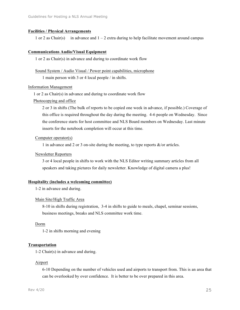#### **Facilities / Physical Arrangements**

1 or 2 as Chair(s) in advance and  $1 - 2$  extra during to help facilitate movement around campus

#### **Communications Audio/Visual Equipment**

1 or 2 as Chair(s) in advance and during to coordinate work flow

# Sound System / Audio Visual / Power point capabilities, microphone

1 main person with 3 or 4 local people / in shifts.

#### Information Management

1 or 2 as Chair(s) in advance and during to coordinate work flow

## Photocopying and office

2 or 3 in shifts (The bulk of reports to be copied one week in advance, if possible.) Coverage of this office is required throughout the day during the meeting. 4-6 people on Wednesday. Since the conference starts for host committee and NLS Board members on Wednesday. Last minute inserts for the notebook completion will occur at this time.

#### Computer operator(s)

1 in advance and 2 or 3 on-site during the meeting, to type reports &/or articles.

#### Newsletter Reporters

3 or 4 local people in shifts to work with the NLS Editor writing summary articles from all speakers and taking pictures for daily newsletter. Knowledge of digital camera a plus!

# **Hospitality (includes a welcoming committee)**

1-2 in advance and during.

#### Main Site/High Traffic Area

8-10 in shifts during registration, 3-4 in shifts to guide to meals, chapel, seminar sessions, business meetings, breaks and NLS committee work time.

#### Dorm

1-2 in shifts morning and evening

#### **Transportation**

1-2 Chair(s) in advance and during.

#### Airport

6-10 Depending on the number of vehicles used and airports to transport from. This is an area that can be overlooked by over confidence. It is better to be over prepared in this area.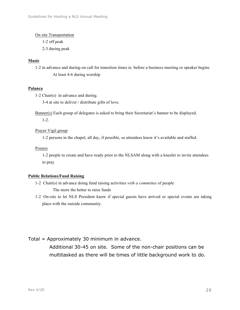On site Transportation

1-2 off peak

2-3 during peak

# **Music**

1-2 in advance and during-on call for transition times ie: before a business meeting or speaker begins At least 4-6 during worship

# **Palanca**

1-2 Chair(s) in advance and during.

3-4 at site to deliver / distribute gifts of love.

Banner(s) Each group of delegates is asked to bring their Secretariat's banner to be displayed. 1-2.

# Prayer Vigil group

1-2 persons in the chapel, all day, if possible, so attendees know it's available and staffed.

# Posters

1-2 people to create and have ready prior to the NLSAM along with a kneeler to invite attendees to pray

# **Public Relations/Fund Raising**

- 1-2 Chair(s) in advance doing fund raising activities *with a committee* of people The more the better to raise funds
- 1-2 On-site to let NLS President know if special guests have arrived or special events are taking place with the outside community.

Total = Approximately 30 minimum in advance.

Additional 30-45 on site. Some of the non-chair positions can be multitasked as there will be times of little background work to do.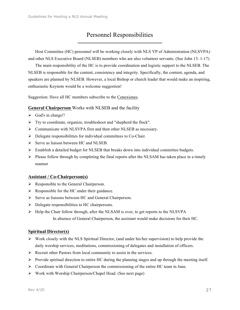# Personnel Responsibilities

Host Committee (HC) personnel will be working closely with NLS VP of Administration (NLSVPA) and other NLS Executive Board (NLSEB) members who are also volunteer servants. (See John 13: 1-17)

The main responsibility of the HC is to provide coordination and logistic support to the NLSEB. The NLSEB is responsible for the content, consistency and integrity. Specifically, the content, agenda, and speakers are planned by NLSEB. However, a local Bishop or church leader that would make an inspiring, enthusiastic Keynote would be a welcome suggestion!

Suggestion: Have all HC members subscribe to the Conexiones.

# **General Chairperson** Works with NLSEB and the facility

- $\triangleright$  God's in charge!!
- $\triangleright$  Try to coordinate, organize, troubleshoot and "shepherd the flock".
- Ø Communicate with NLSVPA first and then other NLSEB as necessary.
- $\triangleright$  Delegate responsibilities for individual committees to Co-Chair.
- $\triangleright$  Serve as liaison between HC and NLSEB.
- $\triangleright$  Establish a detailed budget for NLSEB that breaks down into individual committee budgets.
- $\triangleright$  Please follow through by completing the final reports after the NLSAM has taken place in a timely manner

# **Assistant / Co-Chairperson(s)**

- $\triangleright$  Responsible to the General Chairperson.
- $\triangleright$  Responsible for the HC under their guidance.
- $\triangleright$  Serve as liaisons between HC and General Chairperson.
- $\triangleright$  Delegate responsibilities to HC chairpersons.
- $\triangleright$  Help the Chair follow through, after the NLSAM is over, to get reports to the NLSVPA In absence of General Chairperson, the assistant would make decisions for their HC.

# **Spiritual Director(s)**

- $\triangleright$  Work closely with the NLS Spiritual Director, (and under his/her supervision) to help provide the daily worship services, meditations, commissioning of delegates and installation of officers.
- $\triangleright$  Recruit other Pastors from local community to assist in the services.
- $\triangleright$  Provide spiritual direction to entire HC during the planning stages and up through the meeting itself.
- $\triangleright$  Coordinate with General Chairperson the commissioning of the entire HC team in June.
- $\triangleright$  Work with Worship Chairperson/Chapel Head. (See next page)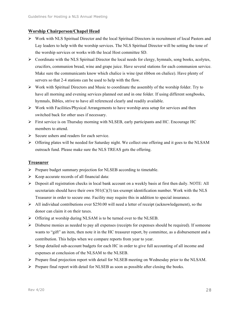# **Worship Chairperson/Chapel Head**

- Ø Work with NLS Spiritual Director and the local Spiritual Directors in recruitment of local Pastors and Lay leaders to help with the worship services. The NLS Spiritual Director will be setting the tone of the worship services or works with the local Host committee SD.
- $\triangleright$  Coordinate with the NLS Spiritual Director the local needs for clergy, hymnals, song books, acolytes, crucifers, communion bread, wine and grape juice. Have several stations for each communion service. Make sure the communicants know which chalice is wine (put ribbon on chalice). Have plenty of servers so that 2-4 stations can be used to help with the flow.
- $\triangleright$  Work with Spiritual Directors and Music to coordinate the assembly of the worship folder. Try to have all morning and evening services planned out and in one folder. If using different songbooks, hymnals, Bibles, strive to have all referenced clearly and readily available.
- $\triangleright$  Work with Facilities/Physical Arrangements to have worship area setup for services and then switched back for other uses if necessary.
- $\triangleright$  First service is on Thursday morning with NLSEB, early participants and HC. Encourage HC members to attend.
- $\triangleright$  Secure ushers and readers for each service.
- $\triangleright$  Offering plates will be needed for Saturday night. We collect one offering and it goes to the NLSAM outreach fund. Please make sure the NLS TREAS gets the offering.

# **Treasurer**

- $\triangleright$  Prepare budget summary projection for NLSEB according to timetable.
- $\triangleright$  Keep accurate records of all financial data:
- $\triangleright$  Deposit all registration checks in local bank account on a weekly basis at first then daily. NOTE: All secretariats should have their own  $501(C)(3)$  tax-exempt identification number. Work with the NLS Treasurer in order to secure one. Facility may require this in addition to special insurance.
- $\triangleright$  All individual contributions over \$250.00 will need a letter of receipt (acknowledgement), so the donor can claim it on their taxes.
- $\triangleright$  Offering at worship during NLSAM is to be turned over to the NLSEB.
- $\triangleright$  Disburse monies as needed to pay all expenses (receipts for expenses should be required). If someone wants to "gift" an item, then note it in the HC treasurer report, by committee, as a disbursement and a contribution. This helps when we compare reports from year to year.
- $\triangleright$  Setup detailed sub-account budgets for each HC in order to give full accounting of all income and expenses at conclusion of the NLSAM to the NLSEB.
- Ø Prepare final projection report with detail for NLSEB meeting on Wednesday prior to the NLSAM.
- Ø Prepare final report with detail for NLSEB as soon as possible after closing the books.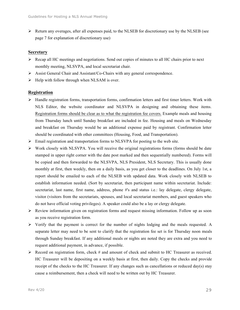$\triangleright$  Return any overages, after all expenses paid, to the NLSEB for discretionary use by the NLSEB (see page 7 for explanation of discretionary use)

## **Secretary**

- $\triangleright$  Recap all HC meetings and negotiations. Send out copies of minutes to all HC chairs prior to next monthly meeting, NLSVPA, and local secretariat chair.
- $\triangleright$  Assist General Chair and Assistant/Co-Chairs with any general correspondence.
- $\triangleright$  Help with follow through when NLSAM is over.

# **Registration**

- $\triangleright$  Handle registration forms, transportation forms, confirmation letters and first timer letters. Work with NLS Editor, the website coordinator and NLSVPA in designing and obtaining these items. Registration forms should be clear as to what the registration fee covers. Example meals and housing from Thursday lunch until Sunday breakfast are included in fee. Housing and meals on Wednesday and breakfast on Thursday would be an additional expense paid by registrant. Confirmation letter should be coordinated with other committees (Housing, Food, and Transportation).
- $\triangleright$  Email registration and transportation forms to NLSVPA for posting to the web site.
- $\triangleright$  Work closely with NLSVPA. You will receive the original registrations forms (forms should be date stamped in upper right corner with the date post marked and then sequentially numbered). Forms will be copied and then forwarded to the NLSVPA, NLS President, NLS Secretary. This is usually done monthly at first, then weekly, then on a daily basis, as you get closer to the deadlines. On July 1st, a report should be emailed to each of the NLSEB with updated data. Work closely with NLSEB to establish information needed. (Sort by secretariat, then participant name within secretariat. Include: secretariat, last name, first name, address, phone #'s and status i.e.: lay delegate, clergy delegate, visitor (visitors from the secretariats, spouses, and local secretariat members, and guest speakers who do not have official voting privileges). A speaker could also be a lay or clergy delegate.
- Ø Review information given on registration forms and request missing information. Follow up as soon as you receive registration form.
- $\triangleright$  Verify that the payment is correct for the number of nights lodging and the meals requested. A separate letter may need to be sent to clarify that the registration fee set is for Thursday noon meals through Sunday breakfast. If any additional meals or nights are noted they are extra and you need to request additional payment, in advance, if possible.
- $\triangleright$  Record on registration form, check # and amount of check and submit to HC Treasurer as received. HC Treasurer will be depositing on a weekly basis at first, then daily. Copy the checks and provide receipt of the checks to the HC Treasurer. If any changes such as cancellations or reduced day(s) stay cause a reimbursement, then a check will need to be written out by HC Treasurer.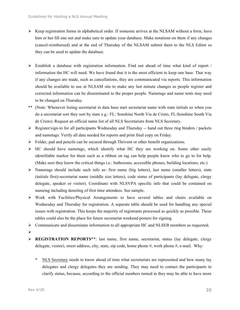- $\triangleright$  Keep registration forms in alphabetical order. If someone arrives at the NLSAM without a form, have him or her fill one out and make sure to update your database. Make notations on them if any changes (cancel-reimbursed) and at the end of Thursday of the NLSAM submit them to the NLS Editor so they can be used to update the database.
- $\triangleright$  Establish a database with registration information. Find out ahead of time what kind of report / information the HC will need. We have found that it is the most efficient to keep one base. That way if any changes are made, such as cancellations, they are communicated via reports. This information should be available to use at NLSAM site to make any last minute changes as people register and corrected information can be disseminated to the proper people. Nametags and name tents may need to be changed on Thursday.
- \*\* (Note: Whenever listing secretariat in data base start secretariat name with state initials so when you do a secretariat sort they sort by state e.g.: FL: Sonshine North Via de Cristo, FL:Sonshine South Via de Cristo). Request an official name list of all NLS Secretariats from NLS Secretary.
- $\triangleright$  Register/sign-in for all participants Wednesday and Thursday -- hand out three ring binders / packets and nametags. Verify all data needed for reports and print final copy on Friday.
- $\triangleright$  Folder, pad and pencils can be secured through Thrivent or other benefit organizations.
- $\triangleright$  HC should have nametags, which identify what HC they are working on. Some other easily identifiable marker for them such as a ribbon on tag can help people know who to go to for help. (Make sure they know the critical things i.e.: bathrooms, accessible phones, building locations, etc.)
- $\triangleright$  Nametags should include such info as: first name (big letters), last name (smaller letters), state (initials first)-secretariat name (middle size letters), code status of participants (lay delegate, clergy delegate, speaker or visitor). Coordinate with NLSVPA specific info that could be contained on nametag including denoting of first time attendees. See sample.
- $\triangleright$  Work with Facilities/Physical Arrangements to have several tables and chairs available on Wednesday and Thursday for registration. A separate table should be used for handling any special issues with registration. This keeps the majority of registrants processed as quickly as possible. These tables could also be the place for future secretariat weekend posters for signing.
- $\triangleright$  Communicate and disseminate information to all appropriate HC and NLSEB members as requested.
- Ø
- Ø **REGISTRATION REPORTS**\*\*: last name, first name, secretariat, status (lay delegate, clergy delegate, visitor), street address, city, state, zip code, home phone #, work phone #, e-mail. Why:
	- \* NLS Secretary needs to know ahead of time what secretariats are represented and how many lay delegates and clergy delegates they are sending. They may need to contact the participants to clarify status, because, according to the official numbers turned in they may be able to have more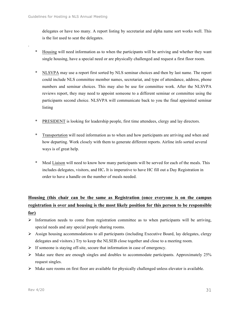.

delegates or have too many. A report listing by secretariat and alpha name sort works well. This is the list used to seat the delegates.

- \* Housing will need information as to when the participants will be arriving and whether they want single housing, have a special need or are physically challenged and request a first floor room.
- \* NLSVPA may use a report first sorted by NLS seminar choices and then by last name. The report could include NLS committee member names, secretariat, and type of attendance, address, phone numbers and seminar choices. This may also be use for committee work. After the NLSVPA reviews report, they may need to appoint someone to a different seminar or committee using the participants second choice. NLSVPA will communicate back to you the final appointed seminar listing
- \* PRESIDENT is looking for leadership people, first time attendees, clergy and lay directors.
- \* Transportation will need information as to when and how participants are arriving and when and how departing. Work closely with them to generate different reports. Airline info sorted several ways is of great help.
- \* Meal Liaison will need to know how many participants will be served for each of the meals. This includes delegates, visitors, and HC**.** It is imperative to have HC fill out a Day Registration in order to have a handle on the number of meals needed.

# **Housing (this chair can be the same as Registration (once everyone is on the campus registration is over and housing is the most likely position for this person to be responsible for)**

- $\triangleright$  Information needs to come from registration committee as to when participants will be arriving, special needs and any special people sharing rooms.
- $\triangleright$  Assign housing accommodations to all participants (including Executive Board, lay delegates, clergy delegates and visitors.) Try to keep the NLSEB close together and close to a meeting room.
- $\triangleright$  If someone is staying off-site, secure that information in case of emergency.
- $\triangleright$  Make sure there are enough singles and doubles to accommodate participants. Approximately 25% request singles.
- $\triangleright$  Make sure rooms on first floor are available for physically challenged unless elevator is available.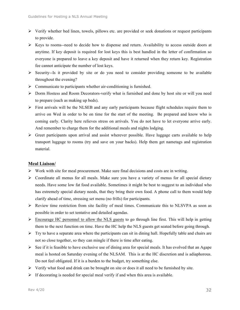- $\triangleright$  Verify whether bed linen, towels, pillows etc. are provided or seek donations or request participants to provide.
- $\triangleright$  Keys to rooms--need to decide how to dispense and return. Availability to access outside doors at anytime. If key deposit is required for lost keys this is best handled in the letter of confirmation so everyone is prepared to leave a key deposit and have it returned when they return key. Registration fee cannot anticipate the number of lost keys.
- $\triangleright$  Security--Is it provided by site or do you need to consider providing someone to be available throughout the evening?
- $\triangleright$  Communicate to participants whether air-conditioning is furnished.
- $\triangleright$  Dorm Hostess and Room Decorators-verify what is furnished and done by host site or will you need to prepare (such as making up beds).
- $\triangleright$  First arrivals will be the NLSEB and any early participants because flight schedules require them to arrive on Wed in order to be on time for the start of the meeting. Be prepared and know who is coming early. Clarity here relieves stress on arrivals. You do not have to let everyone arrive early. And remember to charge them for the additional meals and nights lodging.
- $\triangleright$  Greet participants upon arrival and assist wherever possible. Have luggage carts available to help transport luggage to rooms (try and save on your backs). Help them get nametags and registration material.

# **Meal Liaison/**

- $\triangleright$  Work with site for meal procurement. Make sure final decisions and costs are in writing.
- $\triangleright$  Coordinate all menus for all meals. Make sure you have a variety of menus for all special dietary needs. Have some low fat food available. Sometimes it might be best to suggest to an individual who has extremely special dietary needs, that they bring their own food. A phone call to them would help clarify ahead of time, stressing set menu (no frills) for participants.
- $\triangleright$  Review time restriction from site facility of meal times. Communicate this to NLSVPA as soon as possible in order to set tentative and detailed agendas.
- $\triangleright$  Encourage HC personnel to allow the NLS guests to go through line first. This will help in getting them to the next function on time. Have the HC help the NLS guests get seated before going through.
- $\triangleright$  Try to have a separate area where the participants can sit in dining hall. Hopefully table and chairs are not so close together, so they can mingle if there is time after eating.
- $\triangleright$  See if it is feasible to have exclusive use of dining area for special meals. It has evolved that an Agape meal is hosted on Saturday evening of the NLSAM. This is at the HC discretion and is adiaphorous. Do not feel obligated. If it is a burden to the budget, try something else.
- $\triangleright$  Verify what food and drink can be brought on site or does it all need to be furnished by site.
- $\triangleright$  If decorating is needed for special meal verify if and when this area is available.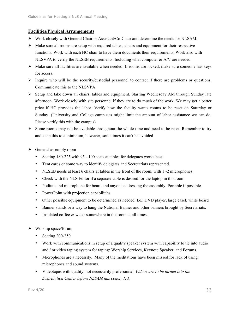# **Facilities/Physical Arrangements**

- Ø Work closely with General Chair or Assistant/Co-Chair and determine the needs for NLSAM.
- $\triangleright$  Make sure all rooms are setup with required tables, chairs and equipment for their respective functions. Work with each HC chair to have them documents their requirements. Work also with NLSVPA to verify the NLSEB requirements. Including what computer & A/V are needed.
- $\triangleright$  Make sure all facilities are available when needed. If rooms are locked, make sure someone has keys for access.
- $\triangleright$  Inquire who will be the security/custodial personnel to contact if there are problems or questions. Communicate this to the NLSVPA
- $\triangleright$  Setup and take down all chairs, tables and equipment. Starting Wednesday AM through Sunday late afternoon. Work closely with site personnel if they are to do much of the work. We may get a better price if HC provides the labor. Verify how the facility wants rooms to be reset on Saturday or Sunday. (University and College campuses might limit the amount of labor assistance we can do. Please verify this with the campus)
- $\triangleright$  Some rooms may not be available throughout the whole time and need to be reset. Remember to try and keep this to a minimum, however, sometimes it can't be avoided.
- $\triangleright$  General assembly room
	- Seating 180-225 with 95 100 seats at tables for delegates works best.
	- Tent cards or some way to identify delegates and Secretariats represented.
	- NLSEB needs at least 6 chairs at tables in the front of the room, with 1 -2 microphones.
	- Check with the NLS Editor if a separate table is desired for the laptop in this room.
	- Podium and microphone for board and anyone addressing the assembly. Portable if possible.
	- PowerPoint with projection capabilities
	- Other possible equipment to be determined as needed. I.e.: DVD player, large easel, white board
	- Banner stands or a way to hang the National Banner and other banners brought by Secretariats.
	- Insulated coffee & water somewhere in the room at all times.

# $\triangleright$  Worship space/forum

- Seating 200-250
- Work with communications in setup of a quality speaker system with capability to tie into audio and / or video taping system for taping: Worship Services, Keynote Speaker, and Forums.
- Microphones are a necessity. Many of the meditations have been missed for lack of using microphones and sound systems.
- Videotapes with quality, not necessarily professional. *Videos are to be turned into the Distribution Center before NLSAM has concluded.*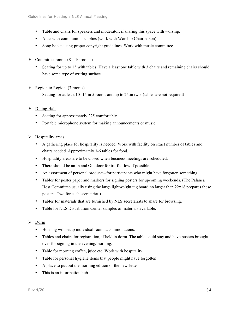- Table and chairs for speakers and moderator, if sharing this space with worship.
- Altar with communion supplies (work with Worship Chairperson)
- Song books using proper copyright guidelines. Work with music committee.
- $\triangleright$  Committee rooms (8 10 rooms)
	- Seating for up to 15 with tables. Have a least one table with 3 chairs and remaining chairs should have some type of writing surface.

# $\triangleright$  Region to Region (7 rooms)

Seating for at least 10 -15 in 5 rooms and up to 25.in two (tables are not required)

# $\triangleright$  Dining Hall

- Seating for approximately 225 comfortably.
- Portable microphone system for making announcements or music.

# $\triangleright$  Hospitality areas

- A gathering place for hospitality is needed. Work with facility on exact number of tables and chairs needed. Approximately 3-6 tables for food.
- Hospitality areas are to be closed when business meetings are scheduled.
- There should be an In and Out door for traffic flow if possible.
- An assortment of personal products--for participants who might have forgotten something.
- Tables for poster paper and markers for signing posters for upcoming weekends. (The Palanca Host Committee usually using the large lightweight tag board no larger than 22x18 prepares these posters. Two for each secretariat.)
- Tables for materials that are furnished by NLS secretariats to share for browsing.
- Table for NLS Distribution Center samples of materials available.

# Ø Dorm

- Housing will setup individual room accommodations.
- Tables and chairs for registration, if held in dorm. The table could stay and have posters brought over for signing in the evening/morning.
- Table for morning coffee, juice etc. Work with hospitality.
- Table for personal hygiene items that people might have forgotten
- A place to put out the morning edition of the newsletter
- This is an information hub.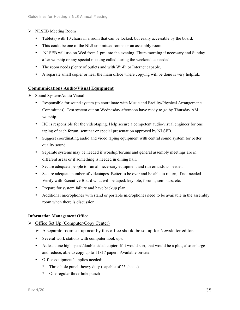# Ø NLSEB Meeting Room

- Table(s) with 10 chairs in a room that can be locked, but easily accessible by the board.
- This could be one of the NLS committee rooms or an assembly room.
- NLSEB will use on Wed from 1 pm into the evening, Thurs morning if necessary and Sunday after worship or any special meeting called during the weekend as needed.
- The room needs plenty of outlets and with Wi-Fi or Internet capable.
- A separate small copier or near the main office where copying will be done is very helpful..

# **Communications Audio/Visual Equipment**

- $\triangleright$  Sound System/Audio Visual
	- Responsible for sound system (to coordinate with Music and Facility/Physical Arrangements Committees). Test system out on Wednesday afternoon have ready to go by Thursday AM worship.
	- HC is responsible for the videotaping. Help secure a competent audio/visual engineer for one taping of each forum, seminar or special presentation approved by NLSEB.
	- Suggest coordinating audio and video taping equipment with central sound system for better quality sound.
	- Separate systems may be needed if worship/forums and general assembly meetings are in different areas or if something is needed in dining hall.
	- Secure adequate people to run all necessary equipment and run errands as needed
	- Secure adequate number of videotapes. Better to be over and be able to return, if not needed. Verify with Executive Board what will be taped: keynote, forums, seminars, etc.
	- Prepare for system failure and have backup plan.
	- Additional microphones with stand or portable microphones need to be available in the assembly room when there is discussion.

# **Information Management Office**

- $\triangleright$  Office Set Up (Computer/Copy Center)
	- $\triangleright$  A separate room set up near by this office should be set up for Newsletter editor.
	- Several work stations with computer hook ups.
	- At least one high speed/double sided copier. If it would sort, that would be a plus, also enlarge and reduce, able to copy up to 11x17 paper. Available on-site.
	- Office equipment/supplies needed:
		- \* Three hole punch-heavy duty (capable of 25 sheets)
		- \* One regular three-hole punch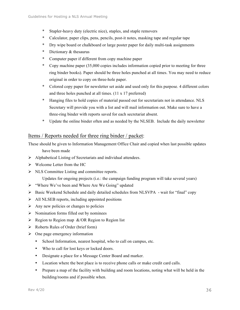- \* Stapler-heavy duty (electric nice), staples, and staple removers
- \* Calculator, paper clips, pens, pencils, post-it notes, masking tape and regular tape
- \* Dry wipe board or chalkboard or large poster paper for daily multi-task assignments
- \* Dictionary & thesaurus
- \* Computer paper if different from copy machine paper
- \* Copy machine paper (35,000 copies includes information copied prior to meeting for three ring binder books). Paper should be three holes punched at all times. You may need to reduce original in order to copy on three-hole paper.
- \* Colored copy paper for newsletter set aside and used only for this purpose. 4 different colors and three holes punched at all times. (11 x 17 preferred)
- \* Hanging files to hold copies of material passed out for secretariats not in attendance. NLS Secretary will provide you with a list and will mail information out. Make sure to have a three-ring binder with reports saved for each secretariat absent.
- \* Update the online binder often and as needed by the NLSEB. Include the daily newsletter

# Items / Reports needed for three ring binder / packet:

These should be given to Information Management Office Chair and copied when last possible updates have been made

- $\triangleright$  Alphabetical Listing of Secretariats and individual attendees.
- $\triangleright$  Welcome Letter from the HC
- $\triangleright$  NLS Committee Listing and committee reports.

Updates for ongoing projects (i.e.: the campaign funding program will take several years)

- Ø "Where We've been and Where Are We Going" updated
- $\triangleright$  Basic Weekend Schedule and daily detailed schedules from NLSVPA wait for "final" copy
- $\triangleright$  All NLSEB reports, including appointed positions
- $\triangleright$  Any new policies or changes to policies
- $\triangleright$  Nomination forms filled out by nominees
- $\triangleright$  Region to Region map &/OR Region to Region list
- $\triangleright$  Roberts Rules of Order (brief form)
- $\triangleright$  One page emergency information
	- School Information, nearest hospital, who to call on campus, etc.
	- Who to call for lost keys or locked doors.
	- Designate a place for a Message Center Board and marker.
	- Location where the best place is to receive phone calls or make credit card calls.
	- Prepare a map of the facility with building and room locations, noting what will be held in the building/rooms and if possible when.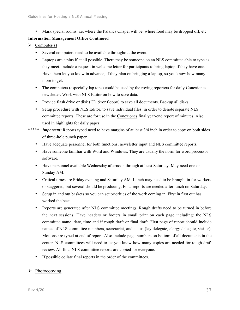• Mark special rooms, i.e. where the Palanca Chapel will be, where food may be dropped off, etc.

# **Information Management Office Continued**

- $\triangleright$  Computer(s)
	- Several computers need to be available throughout the event.
	- Laptops are a plus if at all possible. There may be someone on an NLS committee able to type as they meet. Include a request in welcome letter for participants to bring laptop if they have one. Have them let you know in advance, if they plan on bringing a laptop, so you know how many more to get.
	- The computers (especially lap tops) could be used by the roving reporters for daily Conexiones newsletter. Work with NLS Editor on how to save data.
	- Provide flash drive or disk (CD  $\&$ /or floppy) to save all documents. Backup all disks.
	- Setup procedure with NLS Editor, to save individual files, in order to denote separate NLS committee reports. These are for use in the Conexiones final year-end report of minutes. Also used in highlights for daily paper.
- \*\*\*\*\* *Important:* Reports typed need to have margins of at least 3/4 inch in order to copy on both sides of three-hole punch paper.
	- Have adequate personnel for both functions; newsletter input and NLS committee reports.
	- Have someone familiar with Word and Windows. They are usually the norm for word processor software.
	- Have personnel available Wednesday afternoon through at least Saturday. May need one on Sunday AM.
	- Critical times are Friday evening and Saturday AM. Lunch may need to be brought in for workers or staggered, but several should be producing. Final reports are needed after lunch on Saturday.
	- Setup in and out baskets so you can set priorities of the work coming in. First in first out has worked the best.
	- Reports are generated after NLS committee meetings. Rough drafts need to be turned in before the next sessions. Have headers or footers in small print on each page including: the NLS committee name, date, time and if rough draft or final draft. First page of report should include names of NLS committee members, secretariat, and status (lay delegate, clergy delegate, visitor). Motions are typed at end of report. Also include page numbers on bottom of all documents in the center. NLS committees will need to let you know how many copies are needed for rough draft review. All final NLS committee reports are copied for everyone.
	- If possible collate final reports in the order of the committees.

# $\triangleright$  Photocopying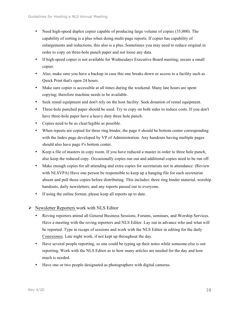- Need high-speed duplex copier capable of producing large volume of copies (35,000). The capability of sorting is a plus when doing multi-page reports. If copier has capability of enlargements and reductions, this also is a plus. Sometimes you may need to reduce original in order to copy on three-hole punch paper and not loose any data.
- If high-speed copier is not available for Wednesdays Executive Board meeting, secure a small copier.
- Also, make sure you have a backup in case this one breaks down or access to a facility such as Quick Print that's open 24 hours.
- Make sure copier is accessible at all times during the weekend. Many late hours are spent copying; therefore machine needs to be available.
- Seek rental equipment and don't rely on the host facility. Seek donation of rental equipment.
- Three-hole punched paper should be used. Try to copy on both sides to reduce costs. If you don't have three-hole paper have a heavy duty three hole punch.
- Copies need to be as clear/legible as possible.
- When reports are copied for three ring binder, the page # should be bottom center corresponding with the Index page developed by VP of Administration. Any handouts having multiple pages should also have page #'s bottom center.
- Keep a file of masters in copy room. If you have reduced a master in order to three hole punch, also keep the reduced copy. Occasionally copies run out and additional copies need to be run off.
- Make enough copies for all attending and extra copies for secretariats not in attendance. (Review with NLSVPA) Have one person be responsible to keep up a hanging file for each secretariat absent and pull those copies before distributing. This includes: three ring binder material, worship handouts, daily newsletters, and any reports passed out to everyone.
- If using the online format, please keep all reports up to date.

# $\triangleright$  Newsletter Reporters work with NLS Editor

- Roving reporters attend all General Business Sessions, Forums, seminars, and Worship Services. Have a meeting with the roving reporters and NLS Editor. Lay out in advance who and what will be reported. Type in recaps of sessions and work with the NLS Editor in editing for the daily Conexiones. Late night work, if not kept up throughout the day.
- Have several people reporting, so one could be typing up their notes while someone-else is out reporting. Work with the NLS Editor as to how many articles are needed for the day and how much is needed.
- Have one or two people designated as photographers with digital cameras.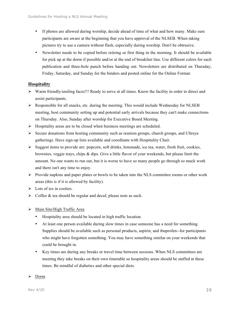- If photos are allowed during worship, decide ahead of time of what and how many. Make sure participants are aware at the beginning that you have approval of the NLSEB. When taking pictures try to use a camera without flash, especially during worship. Don't be obtrusive.
- Newsletter needs to be copied before retiring or first thing in the morning. It should be available for pick up at the dorm if possible and/or at the end of breakfast line. Use different colors for each publication and three-hole punch before handing out. Newsletters are distributed on Thursday, Friday, Saturday, and Sunday for the binders and posted online for the Online Format.

# **Hospitality**

- $\triangleright$  Warm friendly/smiling faces!!! Ready to serve at all times. Know the facility in order to direct and assist participants.
- $\triangleright$  Responsible for all snacks, etc. during the meeting. This would include Wednesday for NLSEB meeting, host community setting up and potential early arrivals because they can't make connections on Thursday. Also, Sunday after worship for Executive Board Meeting.
- Ø Hospitality areas are to be closed when business meetings are scheduled.
- $\triangleright$  Secure donations from hosting community such as reunion groups, church groups, and Ultreya gatherings. Have sign-up lists available and coordinate with Hospitality Chair.
- $\triangleright$  Suggest items to provide are: popcorn, soft drinks, lemonade, ice tea, water, fresh fruit, cookies, brownies, veggie trays, chips  $\&$  dips. Give a little flavor of your weekends, but please limit the amount. No one wants to run out, but it is worse to have so many people go through so muck work and there isn't any time to enjoy.
- $\triangleright$  Provide napkins and paper plates or bowls to be taken into the NLS committee rooms or other work areas (this is if it is allowed by facility).
- $\triangleright$  Lots of ice in coolers.
- $\triangleright$  Coffee & tea should be regular and decaf, please note as such.
- $\triangleright$  Main Site/High Traffic Area
	- Hospitality area should be located in high traffic location.
	- At least one person available during slow times in case someone has a need for something. Supplies should be available such as personal products, aspirin, and ibuprofen--for participants who might have forgotten something. You may have something similar on your weekends that could be brought in.
	- Key times are during any breaks or travel time between sessions. When NLS committees are meeting they take breaks on their own timetable so hospitality areas should be staffed at these times. Be mindful of diabetics and other special diets.

#### Ø Dorm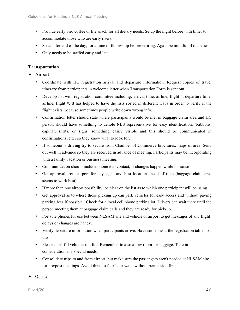- Provide early bird coffee or lite snack for all dietary needs. Setup the night before with timer to accommodate those who are early risers.
- Snacks for end of the day, for a time of fellowship before retiring. Again be mindful of diabetics.
- Only needs to be staffed early and late.

# **Transportation**

# Ø Airport

- Coordinate with HC registration arrival and departure information. Request copies of travel itinerary from participants in welcome letter when Transportation Form is sent out.
- Develop list with registration committee including: arrival time, airline, flight #, departure time, airline, flight #. It has helped to have the lists sorted in different ways in order to verify if the flight exists, because sometimes people write down wrong info.
- Confirmation letter should state where participants would be met in baggage claim area and HC person should have something to denote NLS representative for easy identification. (Ribbons, cap/hat, shirts, or signs, something easily visible and this should be communicated in confirmations letter so they know what to look for.)
- If someone is driving try to secure from Chamber of Commerce brochures, maps of area. Send out well in advance so they are received in advance of meeting. Participants may be incorporating with a family vacation or business meeting.
- Communication should include phone # to contact, if changes happen while in transit.
- Get approval from airport for any signs and best location ahead of time (baggage claim area seems to work best).
- If more than one airport possibility, be clear on the list as to which one participant will be using.
- Get approval as to where those picking up can park vehicles for easy access and without paying parking fees if possible. Check for a local cell phone parking lot. Drivers can wait there until the person meeting them at baggage claim calls and they are ready for pick-up.
- Portable phones for use between NLSAM site and vehicle or airport to get messages of any flight delays or changes are handy.
- Verify departure information when participants arrive. Have someone at the registration table do this.
- Please don't fill vehicles too full. Remember to also allow room for luggage. Take in consideration any special needs.
- Consolidate trips to and from airport, but make sure the passengers aren't needed at NLSAM site for pre/post meetings. Avoid three to four hour waits without permission first.

# $\triangleright$  On site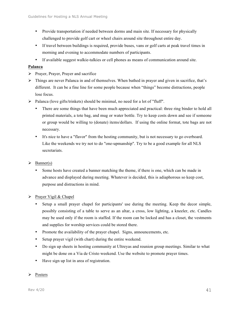- Provide transportation if needed between dorms and main site. If necessary for physically challenged to provide golf cart or wheel chairs around site throughout entire day.
- If travel between buildings is required, provide buses, vans or golf carts at peak travel times in morning and evening to accommodate numbers of participants.
- If available suggest walkie-talkies or cell phones as means of communication around site.

# **Palanca**

- $\triangleright$  Prayer, Prayer, Prayer and sacrifice
- $\triangleright$  Things are never Palanca in and of themselves. When bathed in prayer and given in sacrifice, that's different. It can be a fine line for some people because when "things" become distractions, people lose focus.
- $\triangleright$  Palanca (love gifts/trinkets) should be minimal, no need for a lot of "fluff".
	- There are some things that have been much appreciated and practical: three ring binder to hold all printed materials, a tote bag, and mug or water bottle. Try to keep costs down and see if someone or group would be willing to (donate) items/dollars. If using the online format, tote bags are not necessary.
	- It's nice to have a "flavor" from the hosting community, but is not necessary to go overboard. Like the weekends we try not to do "one-upmanship". Try to be a good example for all NLS secretariats.

# $\triangleright$  Banner(s)

- Some hosts have created a banner matching the theme, if there is one, which can be made in advance and displayed during meeting. Whatever is decided, this is adiaphorous so keep cost, purpose and distractions in mind.
- $\triangleright$  Prayer Vigil & Chapel
	- Setup a small prayer chapel for participants' use during the meeting. Keep the decor simple, possibly consisting of a table to serve as an altar, a cross, low lighting, a kneeler, etc. Candles may be used only if the room is staffed. If the room can be locked and has a closet, the vestments and supplies for worship services could be stored there.
	- Promote the availability of the prayer chapel. Signs, announcements, etc.
	- Setup prayer vigil (with chart) during the entire weekend.
	- Do sign up sheets in hosting community at Ultreyas and reunion group meetings. Similar to what might be done on a Via de Cristo weekend. Use the website to promote prayer times.
	- Have sign up list in area of registration.

# Ø Posters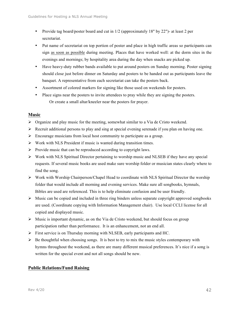- Provide tag board/poster board and cut in  $1/2$  (approximately 18" by 22")- at least 2 per secretariat.
- Put name of secretariat on top portion of poster and place in high traffic areas so participants can sign as soon as possible during meeting. Places that have worked well: at the dorm sites in the evenings and mornings; by hospitality area during the day when snacks are picked up.
- Have heavy-duty rubber bands available to put around posters on Sunday morning. Poster signing should close just before dinner on Saturday and posters to be handed out as participants leave the banquet. A representative from each secretariat can take the posters back.
- Assortment of colored markers for signing like those used on weekends for posters.
- Place signs near the posters to invite attendees to pray while they are signing the posters. Or create a small altar/kneeler near the posters for prayer.

# **Music**

- $\triangleright$  Organize and play music for the meeting, somewhat similar to a Via de Cristo weekend.
- $\triangleright$  Recruit additional persons to play and sing at special evening serenade if you plan on having one.
- $\triangleright$  Encourage musicians from local host community to participate as a group.
- $\triangleright$  Work with NLS President if music is wanted during transition times.
- $\triangleright$  Provide music that can be reproduced according to copyright laws.
- $\triangleright$  Work with NLS Spiritual Director pertaining to worship music and NLSEB if they have any special requests. If several music books are used make sure worship folder or musician states clearly where to find the song.
- $\triangleright$  Work with Worship Chairperson/Chapel Head to coordinate with NLS Spiritual Director the worship folder that would include all morning and evening services. Make sure all songbooks, hymnals, Bibles are used are referenced. This is to help eliminate confusion and be user friendly.
- $\triangleright$  Music can be copied and included in three ring binders unless separate copyright approved songbooks are used. (Coordinate copying with Information Management chair). Use local CCLI license for all copied and displayed music.
- $\triangleright$  Music is important dynamic, as on the Via de Cristo weekend, but should focus on group participation rather than performance. It is an enhancement, not an end all.
- $\triangleright$  First service is on Thursday morning with NLSEB, early participants and HC.
- $\triangleright$  Be thoughtful when choosing songs. It is best to try to mix the music styles contemporary with hymns throughout the weekend, as there are many different musical preferences. It's nice if a song is written for the special event and not all songs should be new.

# **Public Relations/Fund Raising**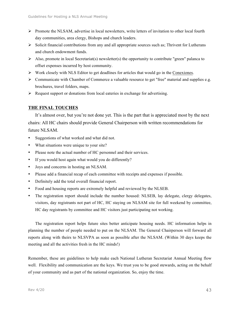- $\triangleright$  Promote the NLSAM, advertise in local newsletters, write letters of invitation to other local fourth day communities, area clergy, Bishops and church leaders.
- $\triangleright$  Solicit financial contributions from any and all appropriate sources such as; Thrivent for Lutherans and church endowment funds.
- $\triangleright$  Also, promote in local Secretariat(s) newsletter(s) the opportunity to contribute "green" palanca to offset expenses incurred by host community.
- $\triangleright$  Work closely with NLS Editor to get deadlines for articles that would go in the Conexiones.
- Ø Communicate with Chamber of Commerce a valuable resource to get "free" material and supplies e.g. brochures, travel folders, maps.
- $\triangleright$  Request support or donations from local eateries in exchange for advertising.

# **THE FINAL TOUCHES**

It's almost over, but you're not done yet. This is the part that is appreciated most by the next chairs: All HC chairs should provide General Chairperson with written recommendations for future NLSAM.

- Suggestions of what worked and what did not.
- What situations were unique to your site?
- Please note the actual number of HC personnel and their services.
- If you would host again what would you do differently?
- Joys and concerns in hosting an NLSAM.
- Please add a financial recap of each committee with receipts and expenses if possible.
- Definitely add the total overall financial report.
- Food and housing reports are extremely helpful and reviewed by the NLSEB.
- The registration report should include the number housed: NLSEB, lay delegate, clergy delegates, visitors, day registrants not part of HC, HC staying on NLSAM site for full weekend by committee, HC day registrants by committee and HC visitors just participating not working.

The registration report helps future sites better anticipate housing needs. HC information helps in planning the number of people needed to put on the NLSAM. The General Chairperson will forward all reports along with theirs to NLSVPA as soon as possible after the NLSAM. (Within 30 days keeps the meeting and all the activities fresh in the HC minds!)

Remember, these are guidelines to help make each National Lutheran Secretariat Annual Meeting flow well. Flexibility and communication are the keys. We trust you to be good stewards, acting on the behalf of your community and as part of the national organization. So, enjoy the time.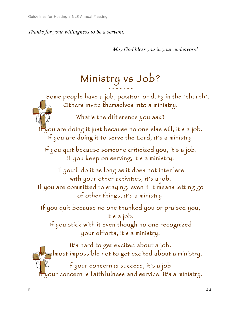*Thanks for your willingness to be a servant.*

*May God bless you in your endeavors!*

# Ministry vs Job?

 Some people have a job, position or duty in the "church". Others invite themselves into a ministry. What's the difference you ask? If you are doing it just because no one else will, it's a job. If you are doing it to serve the Lord, it's a ministry. If you quit because someone criticized you, it's a job. If you keep on serving, it's a ministry. If you'll do it as long as it does not interfere with your other activities, it's a job. If you are committed to staying, even if it means letting go of other things, it's a ministry. If you quit because no one thanked you or praised you, it's a job. If you stick with it even though no one recognized your efforts, it's a ministry. It's hard to get excited about a job. It's almost impossible not to get excited about a ministry. If your concern is success, it's a job.  $\mu$ your concern is faithfulness and service, it's a ministry.